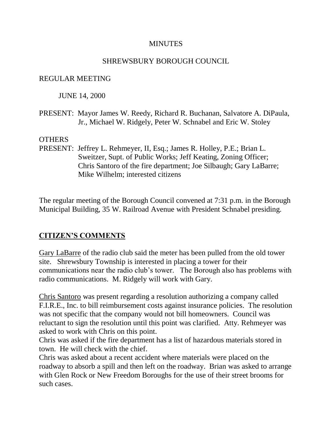#### **MINUTES**

#### SHREWSBURY BOROUGH COUNCIL

#### REGULAR MEETING

JUNE 14, 2000

PRESENT: Mayor James W. Reedy, Richard R. Buchanan, Salvatore A. DiPaula, Jr., Michael W. Ridgely, Peter W. Schnabel and Eric W. Stoley

#### **OTHERS**

PRESENT: Jeffrey L. Rehmeyer, II, Esq.; James R. Holley, P.E.; Brian L. Sweitzer, Supt. of Public Works; Jeff Keating, Zoning Officer; Chris Santoro of the fire department; Joe Silbaugh; Gary LaBarre; Mike Wilhelm; interested citizens

The regular meeting of the Borough Council convened at 7:31 p.m. in the Borough Municipal Building, 35 W. Railroad Avenue with President Schnabel presiding.

## **CITIZEN'S COMMENTS**

Gary LaBarre of the radio club said the meter has been pulled from the old tower site. Shrewsbury Township is interested in placing a tower for their communications near the radio club's tower. The Borough also has problems with radio communications. M. Ridgely will work with Gary.

Chris Santoro was present regarding a resolution authorizing a company called F.I.R.E., Inc. to bill reimbursement costs against insurance policies. The resolution was not specific that the company would not bill homeowners. Council was reluctant to sign the resolution until this point was clarified. Atty. Rehmeyer was asked to work with Chris on this point.

Chris was asked if the fire department has a list of hazardous materials stored in town. He will check with the chief.

Chris was asked about a recent accident where materials were placed on the roadway to absorb a spill and then left on the roadway. Brian was asked to arrange with Glen Rock or New Freedom Boroughs for the use of their street brooms for such cases.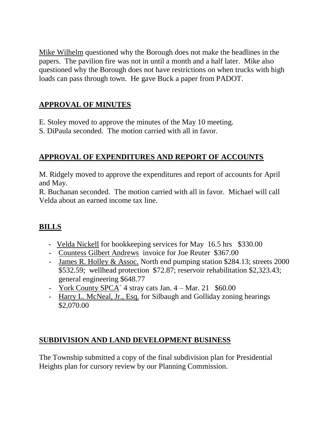Mike Wilhelm questioned why the Borough does not make the headlines in the papers. The pavilion fire was not in until a month and a half later. Mike also questioned why the Borough does not have restrictions on when trucks with high loads can pass through town. He gave Buck a paper from PADOT.

# **APPROVAL OF MINUTES**

- E. Stoley moved to approve the minutes of the May 10 meeting.
- S. DiPaula seconded. The motion carried with all in favor.

# **APPROVAL OF EXPENDITURES AND REPORT OF ACCOUNTS**

M. Ridgely moved to approve the expenditures and report of accounts for April and May.

R. Buchanan seconded. The motion carried with all in favor. Michael will call Velda about an earned income tax line.

# **BILLS**

- Velda Nickell for bookkeeping services for May 16.5 hrs \$330.00
- Countess Gilbert Andrews invoice for Joe Reuter \$367.00
- James R. Holley & Assoc. North end pumping station \$284.13; streets 2000 \$532.59; wellhead protection \$72.87; reservoir rehabilitation \$2,323.43; general engineering \$648.77
- York County SPCA` 4 stray cats Jan. 4 Mar. 21 \$60.00
- Harry L. McNeal, Jr., Esq. for Silbaugh and Golliday zoning hearings \$2,070.00

## **SUBDIVISION AND LAND DEVELOPMENT BUSINESS**

The Township submitted a copy of the final subdivision plan for Presidential Heights plan for cursory review by our Planning Commission.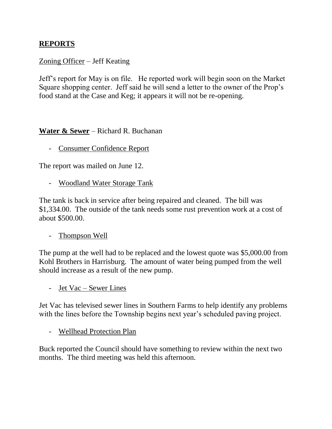## **REPORTS**

### Zoning Officer – Jeff Keating

Jeff's report for May is on file. He reported work will begin soon on the Market Square shopping center. Jeff said he will send a letter to the owner of the Prop's food stand at the Case and Keg; it appears it will not be re-opening.

### **Water & Sewer** – Richard R. Buchanan

- Consumer Confidence Report

The report was mailed on June 12.

- Woodland Water Storage Tank

The tank is back in service after being repaired and cleaned. The bill was \$1,334.00. The outside of the tank needs some rust prevention work at a cost of about \$500.00.

- Thompson Well

The pump at the well had to be replaced and the lowest quote was \$5,000.00 from Kohl Brothers in Harrisburg. The amount of water being pumped from the well should increase as a result of the new pump.

- Jet Vac – Sewer Lines

Jet Vac has televised sewer lines in Southern Farms to help identify any problems with the lines before the Township begins next year's scheduled paving project.

- Wellhead Protection Plan

Buck reported the Council should have something to review within the next two months. The third meeting was held this afternoon.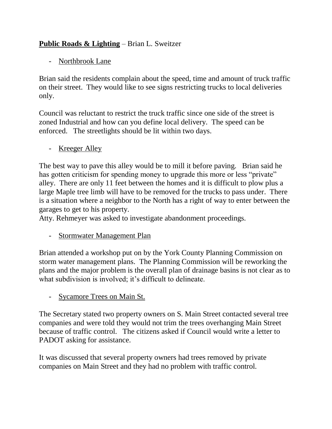# **Public Roads & Lighting** – Brian L. Sweitzer

- Northbrook Lane

Brian said the residents complain about the speed, time and amount of truck traffic on their street. They would like to see signs restricting trucks to local deliveries only.

Council was reluctant to restrict the truck traffic since one side of the street is zoned Industrial and how can you define local delivery. The speed can be enforced. The streetlights should be lit within two days.

- Kreeger Alley

The best way to pave this alley would be to mill it before paving. Brian said he has gotten criticism for spending money to upgrade this more or less "private" alley. There are only 11 feet between the homes and it is difficult to plow plus a large Maple tree limb will have to be removed for the trucks to pass under. There is a situation where a neighbor to the North has a right of way to enter between the garages to get to his property.

Atty. Rehmeyer was asked to investigate abandonment proceedings.

- Stormwater Management Plan

Brian attended a workshop put on by the York County Planning Commission on storm water management plans. The Planning Commission will be reworking the plans and the major problem is the overall plan of drainage basins is not clear as to what subdivision is involved; it's difficult to delineate.

- Sycamore Trees on Main St.

The Secretary stated two property owners on S. Main Street contacted several tree companies and were told they would not trim the trees overhanging Main Street because of traffic control. The citizens asked if Council would write a letter to PADOT asking for assistance.

It was discussed that several property owners had trees removed by private companies on Main Street and they had no problem with traffic control.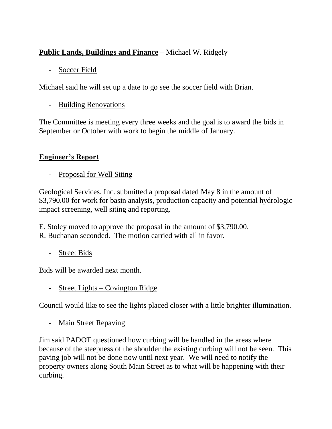# **Public Lands, Buildings and Finance** – Michael W. Ridgely

# - Soccer Field

Michael said he will set up a date to go see the soccer field with Brian.

# - Building Renovations

The Committee is meeting every three weeks and the goal is to award the bids in September or October with work to begin the middle of January.

# **Engineer's Report**

- Proposal for Well Siting

Geological Services, Inc. submitted a proposal dated May 8 in the amount of \$3,790.00 for work for basin analysis, production capacity and potential hydrologic impact screening, well siting and reporting.

E. Stoley moved to approve the proposal in the amount of \$3,790.00. R. Buchanan seconded. The motion carried with all in favor.

- Street Bids

Bids will be awarded next month.

- Street Lights – Covington Ridge

Council would like to see the lights placed closer with a little brighter illumination.

- Main Street Repaving

Jim said PADOT questioned how curbing will be handled in the areas where because of the steepness of the shoulder the existing curbing will not be seen. This paving job will not be done now until next year. We will need to notify the property owners along South Main Street as to what will be happening with their curbing.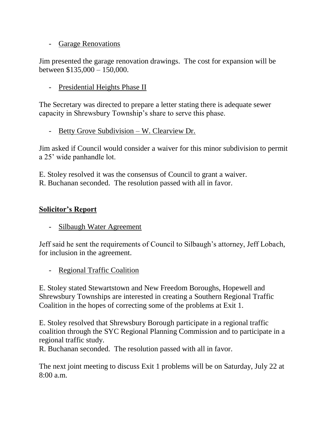### - Garage Renovations

Jim presented the garage renovation drawings. The cost for expansion will be between \$135,000 – 150,000.

- Presidential Heights Phase II

The Secretary was directed to prepare a letter stating there is adequate sewer capacity in Shrewsbury Township's share to serve this phase.

- Betty Grove Subdivision – W. Clearview Dr.

Jim asked if Council would consider a waiver for this minor subdivision to permit a 25' wide panhandle lot.

E. Stoley resolved it was the consensus of Council to grant a waiver. R. Buchanan seconded. The resolution passed with all in favor.

## **Solicitor's Report**

- Silbaugh Water Agreement

Jeff said he sent the requirements of Council to Silbaugh's attorney, Jeff Lobach, for inclusion in the agreement.

- Regional Traffic Coalition

E. Stoley stated Stewartstown and New Freedom Boroughs, Hopewell and Shrewsbury Townships are interested in creating a Southern Regional Traffic Coalition in the hopes of correcting some of the problems at Exit 1.

E. Stoley resolved that Shrewsbury Borough participate in a regional traffic coalition through the SYC Regional Planning Commission and to participate in a regional traffic study.

R. Buchanan seconded. The resolution passed with all in favor.

The next joint meeting to discuss Exit 1 problems will be on Saturday, July 22 at  $8.00 a m$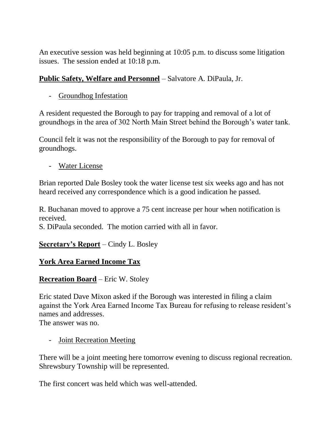An executive session was held beginning at 10:05 p.m. to discuss some litigation issues. The session ended at 10:18 p.m.

## **Public Safety, Welfare and Personnel** – Salvatore A. DiPaula, Jr.

- Groundhog Infestation

A resident requested the Borough to pay for trapping and removal of a lot of groundhogs in the area of 302 North Main Street behind the Borough's water tank.

Council felt it was not the responsibility of the Borough to pay for removal of groundhogs.

- Water License

Brian reported Dale Bosley took the water license test six weeks ago and has not heard received any correspondence which is a good indication he passed.

R. Buchanan moved to approve a 75 cent increase per hour when notification is received.

S. DiPaula seconded. The motion carried with all in favor.

# **Secretary's Report** – Cindy L. Bosley

# **York Area Earned Income Tax**

# **Recreation Board** – Eric W. Stoley

Eric stated Dave Mixon asked if the Borough was interested in filing a claim against the York Area Earned Income Tax Bureau for refusing to release resident's names and addresses.

The answer was no.

- Joint Recreation Meeting

There will be a joint meeting here tomorrow evening to discuss regional recreation. Shrewsbury Township will be represented.

The first concert was held which was well-attended.